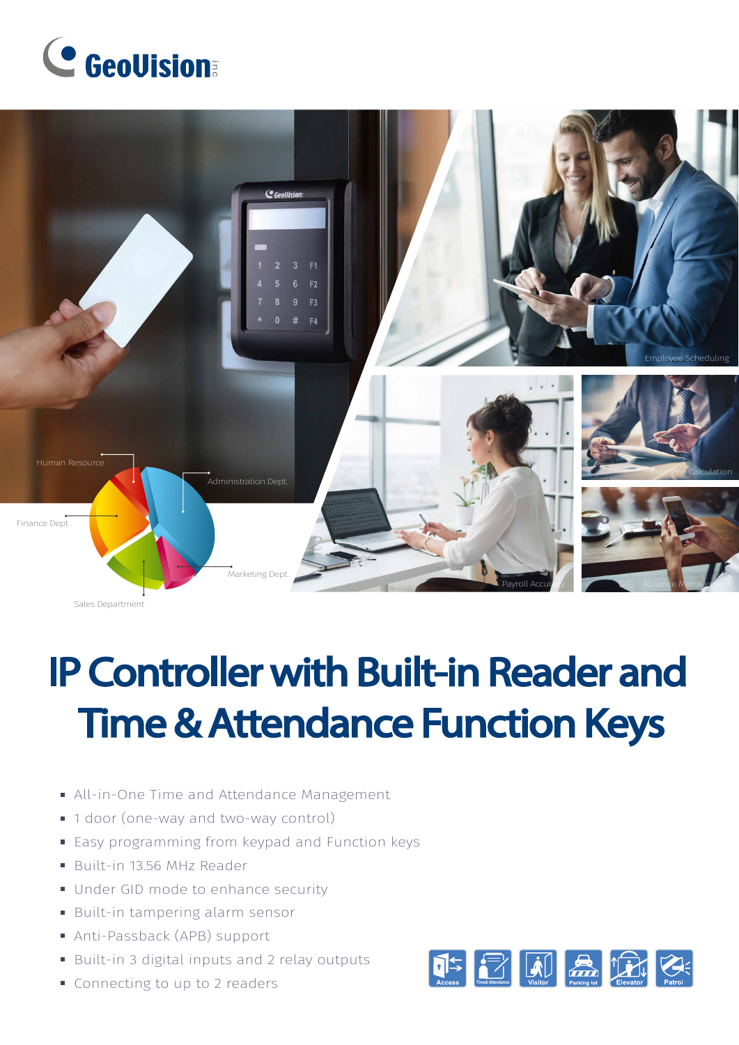



Sales Department

# **IP Controller with Built-in Reader and Time & Attendance Function Keys**

- All-in-One Time and Attendance Management
- 1 door (one-way and two-way control)
- **Easy programming from keypad and Function keys**
- Built-in 13.56 MHz Reader
- Under GID mode to enhance security
- Built-in tampering alarm sensor
- Anti-Passback (APB) support
- Built-in 3 digital inputs and 2 relay outputs
- Connecting to up to 2 readers

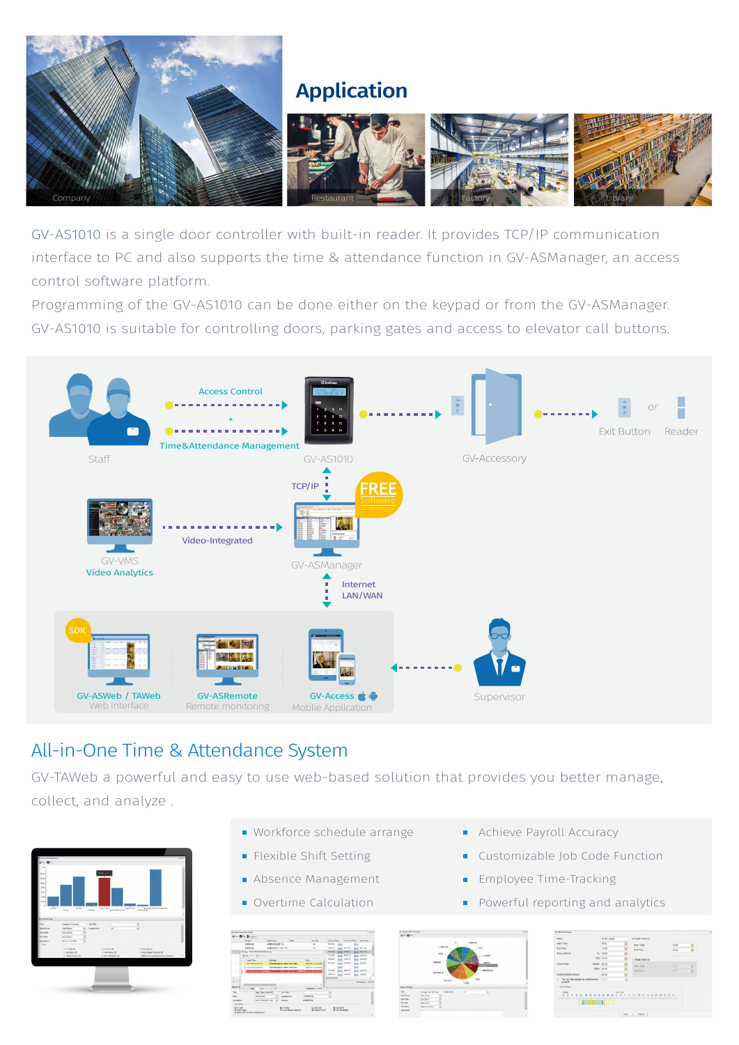

#### Application



GV-AS1010 is a single door controller with built-in reader. It provides TCP/IP communication interface to PC and also supports the time & attendance function in GV-ASManager, an access control software platform.

Programming of the GV-AS1010 can be done either on the keypad or from the GV-ASManager. GV-AS1010 is suitable for controlling doors, parking gates and access to elevator call buttons.



#### All-in-One Time & Attendance System

GV-TAWeb a powerful and easy to use web-based solution that provides you better manage, collect, and analyze .



- Workforce schedule arrange
- **Flexible Shift Setting**
- Absence Management
- Overtime Calculation



| Norsk <sup>i</sup>                                              |             | 09:00-18:00  |        | 2. Brenk Time (1)                    |                |  |
|-----------------------------------------------------------------|-------------|--------------|--------|--------------------------------------|----------------|--|
| Own Timer                                                       |             | oc-to        |        | <b>Start Time</b><br><b>Fod Time</b> | 12:00<br>13:30 |  |
| <b>End Times</b>                                                |             | 17:56        |        |                                      |                |  |
| Advance Resist                                                  |             | lis: 02:00   |        |                                      |                |  |
|                                                                 |             | Out: 05:00   |        | E 840K Time (2)                      |                |  |
| thing Period.                                                   | 849ml 00:30 |              |        | <b>Sart Tire</b>                     | 1500           |  |
|                                                                 |             | After: 00:00 |        | Fol Time.                            | 15/30          |  |
| Overline Bullet Period                                          |             | occho        |        |                                      |                |  |
| The 2nd one angled as continue hour. Incom-<br>$\sim$<br>econde |             |              |        |                                      |                |  |
| Time Bander                                                     |             |              |        |                                      |                |  |
| Today                                                           |             |              | Social |                                      |                |  |

- **Achieve Payroll Accuracy**
- Customizable Job Code Function
- Employee Time-Tracking  $\mathbf{H}^{\mathrm{c}}$
- Powerful reporting and analytics  $\blacksquare$